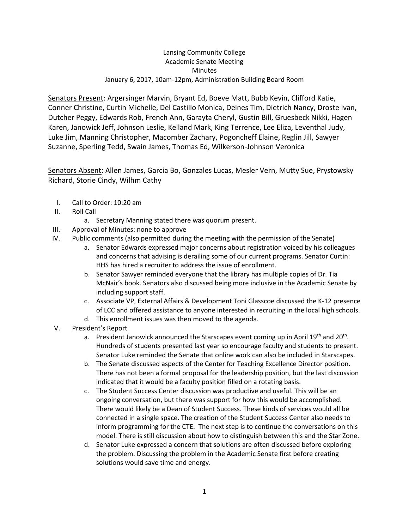## Lansing Community College Academic Senate Meeting **Minutes** January 6, 2017, 10am-12pm, Administration Building Board Room

Senators Present: Argersinger Marvin, Bryant Ed, Boeve Matt, Bubb Kevin, Clifford Katie, Conner Christine, Curtin Michelle, Del Castillo Monica, Deines Tim, Dietrich Nancy, Droste Ivan, Dutcher Peggy, Edwards Rob, French Ann, Garayta Cheryl, Gustin Bill, Gruesbeck Nikki, Hagen Karen, Janowick Jeff, Johnson Leslie, Kelland Mark, King Terrence, Lee Eliza, Leventhal Judy, Luke Jim, Manning Christopher, Macomber Zachary, Pogoncheff Elaine, Reglin Jill, Sawyer Suzanne, Sperling Tedd, Swain James, Thomas Ed, Wilkerson-Johnson Veronica

Senators Absent: Allen James, Garcia Bo, Gonzales Lucas, Mesler Vern, Mutty Sue, Prystowsky Richard, Storie Cindy, Wilhm Cathy

- I. Call to Order: 10:20 am
- II. Roll Call
	- a. Secretary Manning stated there was quorum present.
- III. Approval of Minutes: none to approve
- IV. Public comments (also permitted during the meeting with the permission of the Senate)
	- a. Senator Edwards expressed major concerns about registration voiced by his colleagues and concerns that advising is derailing some of our current programs. Senator Curtin: HHS has hired a recruiter to address the issue of enrollment.
	- b. Senator Sawyer reminded everyone that the library has multiple copies of Dr. Tia McNair's book. Senators also discussed being more inclusive in the Academic Senate by including support staff.
	- c. Associate VP, External Affairs & Development Toni Glasscoe discussed the K-12 presence of LCC and offered assistance to anyone interested in recruiting in the local high schools.
	- d. This enrollment issues was then moved to the agenda.
- V. President's Report
	- a. President Janowick announced the Starscapes event coming up in April 19<sup>th</sup> and 20<sup>th</sup>. Hundreds of students presented last year so encourage faculty and students to present. Senator Luke reminded the Senate that online work can also be included in Starscapes.
	- b. The Senate discussed aspects of the Center for Teaching Excellence Director position. There has not been a formal proposal for the leadership position, but the last discussion indicated that it would be a faculty position filled on a rotating basis.
	- c. The Student Success Center discussion was productive and useful. This will be an ongoing conversation, but there was support for how this would be accomplished. There would likely be a Dean of Student Success. These kinds of services would all be connected in a single space. The creation of the Student Success Center also needs to inform programming for the CTE. The next step is to continue the conversations on this model. There is still discussion about how to distinguish between this and the Star Zone.
	- d. Senator Luke expressed a concern that solutions are often discussed before exploring the problem. Discussing the problem in the Academic Senate first before creating solutions would save time and energy.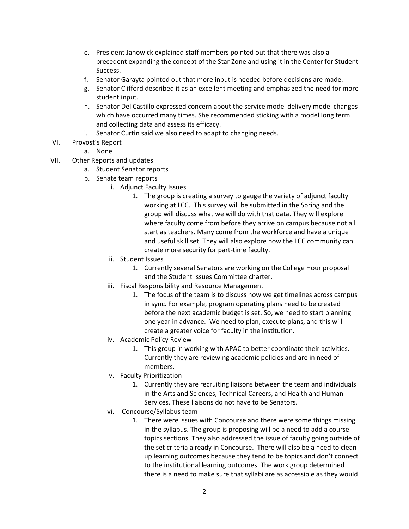- e. President Janowick explained staff members pointed out that there was also a precedent expanding the concept of the Star Zone and using it in the Center for Student Success.
- f. Senator Garayta pointed out that more input is needed before decisions are made.
- g. Senator Clifford described it as an excellent meeting and emphasized the need for more student input.
- h. Senator Del Castillo expressed concern about the service model delivery model changes which have occurred many times. She recommended sticking with a model long term and collecting data and assess its efficacy.
- i. Senator Curtin said we also need to adapt to changing needs.
- VI. Provost's Report

## a. None

- VII. Other Reports and updates
	- a. Student Senator reports
	- b. Senate team reports
		- i. Adjunct Faculty Issues
			- 1. The group is creating a survey to gauge the variety of adjunct faculty working at LCC. This survey will be submitted in the Spring and the group will discuss what we will do with that data. They will explore where faculty come from before they arrive on campus because not all start as teachers. Many come from the workforce and have a unique and useful skill set. They will also explore how the LCC community can create more security for part-time faculty.
		- ii. Student Issues
			- 1. Currently several Senators are working on the College Hour proposal and the Student Issues Committee charter.
		- iii. Fiscal Responsibility and Resource Management
			- 1. The focus of the team is to discuss how we get timelines across campus in sync. For example, program operating plans need to be created before the next academic budget is set. So, we need to start planning one year in advance. We need to plan, execute plans, and this will create a greater voice for faculty in the institution.
		- iv. Academic Policy Review
			- 1. This group in working with APAC to better coordinate their activities. Currently they are reviewing academic policies and are in need of members.
		- v. Faculty Prioritization
			- 1. Currently they are recruiting liaisons between the team and individuals in the Arts and Sciences, Technical Careers, and Health and Human Services. These liaisons do not have to be Senators.
		- vi. Concourse/Syllabus team
			- 1. There were issues with Concourse and there were some things missing in the syllabus. The group is proposing will be a need to add a course topics sections. They also addressed the issue of faculty going outside of the set criteria already in Concourse. There will also be a need to clean up learning outcomes because they tend to be topics and don't connect to the institutional learning outcomes. The work group determined there is a need to make sure that syllabi are as accessible as they would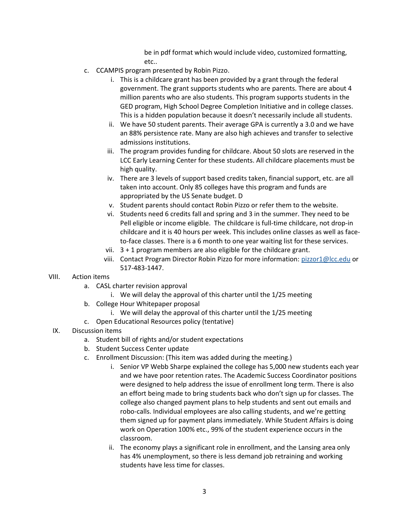be in pdf format which would include video, customized formatting, etc..

- c. CCAMPIS program presented by Robin Pizzo.
	- i. This is a childcare grant has been provided by a grant through the federal government. The grant supports students who are parents. There are about 4 million parents who are also students. This program supports students in the GED program, High School Degree Completion Initiative and in college classes. This is a hidden population because it doesn't necessarily include all students.
	- ii. We have 50 student parents. Their average GPA is currently a 3.0 and we have an 88% persistence rate. Many are also high achieves and transfer to selective admissions institutions.
	- iii. The program provides funding for childcare. About 50 slots are reserved in the LCC Early Learning Center for these students. All childcare placements must be high quality.
	- iv. There are 3 levels of support based credits taken, financial support, etc. are all taken into account. Only 85 colleges have this program and funds are appropriated by the US Senate budget. D
	- v. Student parents should contact Robin Pizzo or refer them to the website.
	- vi. Students need 6 credits fall and spring and 3 in the summer. They need to be Pell eligible or income eligible. The childcare is full-time childcare, not drop-in childcare and it is 40 hours per week. This includes online classes as well as faceto-face classes. There is a 6 month to one year waiting list for these services.
	- vii. 3 + 1 program members are also eligible for the childcare grant.
	- viii. Contact Program Director Robin Pizzo for more information: [pizzor1@lcc.edu](mailto:pizzor1@lcc.edu) or 517-483-1447.

## VIII. Action items

- a. CASL charter revision approval
	- i. We will delay the approval of this charter until the 1/25 meeting
- b. College Hour Whitepaper proposal
	- i. We will delay the approval of this charter until the 1/25 meeting
- c. Open Educational Resources policy (tentative)

## IX. Discussion items

- a. Student bill of rights and/or student expectations
- b. Student Success Center update
- c. Enrollment Discussion: (This item was added during the meeting.)
	- i. Senior VP Webb Sharpe explained the college has 5,000 new students each year and we have poor retention rates. The Academic Success Coordinator positions were designed to help address the issue of enrollment long term. There is also an effort being made to bring students back who don't sign up for classes. The college also changed payment plans to help students and sent out emails and robo-calls. Individual employees are also calling students, and we're getting them signed up for payment plans immediately. While Student Affairs is doing work on Operation 100% etc., 99% of the student experience occurs in the classroom.
	- ii. The economy plays a significant role in enrollment, and the Lansing area only has 4% unemployment, so there is less demand job retraining and working students have less time for classes.